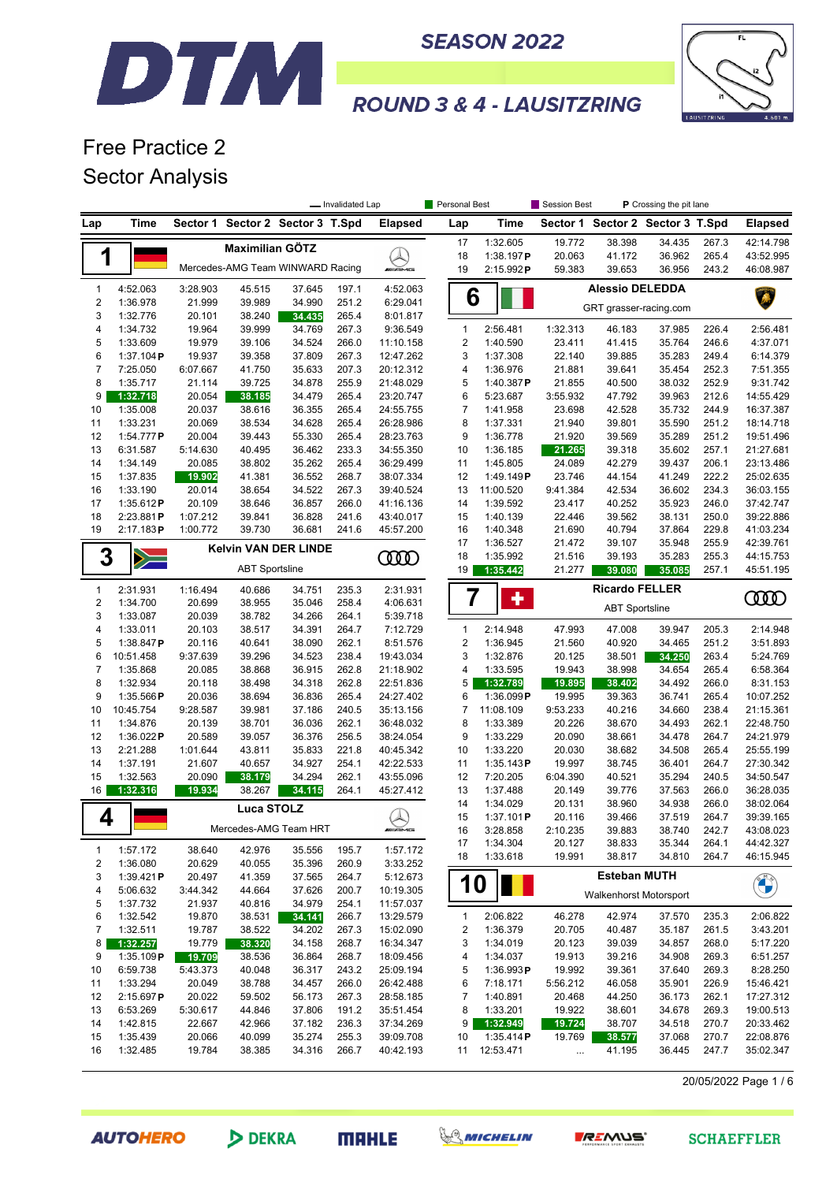



## Free Practice 2 Sector Analysis

DTM

|                         |                       | P Crossing the pit lane<br>- Invalidated Lap<br><b>Personal Best</b><br>Session Best |                        |                                  |                |                        |                |                        |                    |                        |                                  |                |                        |
|-------------------------|-----------------------|--------------------------------------------------------------------------------------|------------------------|----------------------------------|----------------|------------------------|----------------|------------------------|--------------------|------------------------|----------------------------------|----------------|------------------------|
| Lap                     | Time                  | Sector 1                                                                             |                        | Sector 2 Sector 3 T.Spd          |                | <b>Elapsed</b>         | Lap            | <b>Time</b>            |                    |                        | Sector 1 Sector 2 Sector 3 T.Spd |                | <b>Elapsed</b>         |
|                         |                       |                                                                                      | <b>Maximilian GÖTZ</b> |                                  |                |                        | 17             | 1:32.605               | 19.772             | 38.398                 | 34.435                           | 267.3          | 42:14.798              |
| 1                       |                       |                                                                                      |                        |                                  |                |                        | 18             | 1:38.197P              | 20.063             | 41.172                 | 36.962                           | 265.4          | 43:52.995              |
|                         |                       |                                                                                      |                        | Mercedes-AMG Team WINWARD Racing |                | <b><i>INNE</i></b>     | 19             | 2:15.992P              | 59.383             | 39.653                 | 36.956                           | 243.2          | 46:08.987              |
| $\mathbf{1}$            | 4:52.063              | 3:28.903                                                                             | 45.515                 | 37.645                           | 197.1          | 4:52.063               |                |                        |                    | <b>Alessio DELEDDA</b> |                                  |                |                        |
| $\mathbf 2$             | 1:36.978              | 21.999                                                                               | 39.989                 | 34.990                           | 251.2          | 6:29.041               | 6              |                        |                    |                        |                                  |                |                        |
| 3                       | 1:32.776              | 20.101                                                                               | 38.240                 | 34.435                           | 265.4          | 8:01.817               |                |                        |                    |                        | GRT grasser-racing.com           |                |                        |
| 4                       | 1:34.732              | 19.964                                                                               | 39.999                 | 34.769                           | 267.3          | 9:36.549               | $\mathbf{1}$   | 2:56.481               | 1:32.313           | 46.183                 | 37.985                           | 226.4          | 2:56.481               |
| 5                       | 1:33.609              | 19.979                                                                               | 39.106                 | 34.524                           | 266.0          | 11:10.158              | $\overline{c}$ | 1:40.590               | 23.411             | 41.415                 | 35.764                           | 246.6          | 4:37.071               |
| 6                       | 1:37.104P             | 19.937                                                                               | 39.358                 | 37.809                           | 267.3          | 12:47.262              | 3              | 1:37.308               | 22.140             | 39.885                 | 35.283                           | 249.4          | 6:14.379               |
| $\overline{7}$          | 7:25.050              | 6:07.667                                                                             | 41.750                 | 35.633                           | 207.3          | 20:12.312              | 4              | 1:36.976               | 21.881             | 39.641                 | 35.454                           | 252.3          | 7:51.355               |
| 8                       | 1:35.717              | 21.114                                                                               | 39.725                 | 34.878                           | 255.9          | 21:48.029              | 5              | 1:40.387P              | 21.855             | 40.500                 | 38.032                           | 252.9          | 9:31.742               |
| 9                       | 1:32.718              | 20.054                                                                               | 38.185                 | 34.479                           | 265.4          | 23:20.747              | 6              | 5:23.687               | 3:55.932           | 47.792                 | 39.963                           | 212.6          | 14:55.429              |
| 10                      | 1:35.008              | 20.037                                                                               | 38.616                 | 36.355                           | 265.4          | 24:55.755              | $\overline{7}$ | 1:41.958               | 23.698             | 42.528                 | 35.732                           | 244.9          | 16:37.387              |
| 11                      | 1:33.231              | 20.069                                                                               | 38.534                 | 34.628                           | 265.4          | 26:28.986              | 8              | 1:37.331               | 21.940             | 39.801                 | 35.590                           | 251.2          | 18:14.718              |
| 12                      | 1:54.777P             | 20.004                                                                               | 39.443                 | 55.330                           | 265.4          | 28:23.763              | 9              | 1:36.778               | 21.920             | 39.569                 | 35.289                           | 251.2          | 19:51.496              |
| 13                      | 6:31.587              | 5:14.630                                                                             | 40.495                 | 36.462                           | 233.3          | 34:55.350              | 10             | 1:36.185               | 21.265             | 39.318                 | 35.602                           | 257.1          | 21:27.681              |
| 14                      | 1:34.149              | 20.085                                                                               | 38.802                 | 35.262                           | 265.4          | 36:29.499              | 11             | 1:45.805               | 24.089             | 42.279                 | 39.437                           | 206.1          | 23:13.486              |
| 15<br>16                | 1:37.835              | 19.902<br>20.014                                                                     | 41.381                 | 36.552<br>34.522                 | 268.7<br>267.3 | 38:07.334              | 12<br>13       | 1:49.149P<br>11:00.520 | 23.746<br>9:41.384 | 44.154<br>42.534       | 41.249<br>36.602                 | 222.2<br>234.3 | 25:02.635<br>36:03.155 |
| 17                      | 1:33.190<br>1:35.612P | 20.109                                                                               | 38.654<br>38.646       | 36.857                           | 266.0          | 39:40.524<br>41:16.136 | 14             | 1:39.592               | 23.417             | 40.252                 | 35.923                           | 246.0          | 37:42.747              |
| 18                      | 2:23.881P             | 1:07.212                                                                             | 39.841                 | 36.828                           | 241.6          | 43:40.017              | 15             | 1:40.139               | 22.446             | 39.562                 | 38.131                           | 250.0          | 39:22.886              |
| 19                      | 2:17.183P             | 1:00.772                                                                             | 39.730                 | 36.681                           | 241.6          | 45:57.200              | 16             | 1:40.348               | 21.690             | 40.794                 | 37.864                           | 229.8          | 41:03.234              |
|                         |                       |                                                                                      |                        |                                  |                |                        | 17             | 1:36.527               | 21.472             | 39.107                 | 35.948                           | 255.9          | 42:39.761              |
| 3                       |                       |                                                                                      |                        | <b>Kelvin VAN DER LINDE</b>      |                | <b>COOD</b>            | 18             | 1:35.992               | 21.516             | 39.193                 | 35.283                           | 255.3          | 44:15.753              |
|                         | $\sum_{i=1}^{n}$      |                                                                                      | <b>ABT Sportsline</b>  |                                  |                |                        | 19             | 1:35.442               | 21.277             | 39.080                 | 35.085                           | 257.1          | 45:51.195              |
|                         |                       |                                                                                      |                        |                                  |                |                        |                |                        |                    |                        |                                  |                |                        |
| $\mathbf{1}$            | 2:31.931              | 1:16.494                                                                             | 40.686                 | 34.751                           | 235.3          | 2:31.931               | 7              | ٠                      |                    | <b>Ricardo FELLER</b>  |                                  |                | ഝ                      |
| $\overline{2}$<br>3     | 1:34.700<br>1:33.087  | 20.699<br>20.039                                                                     | 38.955<br>38.782       | 35.046<br>34.266                 | 258.4<br>264.1 | 4:06.631<br>5:39.718   |                |                        |                    | <b>ABT Sportsline</b>  |                                  |                |                        |
| 4                       | 1:33.011              | 20.103                                                                               | 38.517                 | 34.391                           | 264.7          | 7:12.729               | $\mathbf{1}$   | 2:14.948               | 47.993             | 47.008                 | 39.947                           | 205.3          | 2:14.948               |
| 5                       | 1:38.847P             | 20.116                                                                               | 40.641                 | 38.090                           | 262.1          | 8:51.576               | $\overline{2}$ | 1:36.945               | 21.560             | 40.920                 | 34.465                           | 251.2          | 3:51.893               |
| 6                       | 10:51.458             | 9:37.639                                                                             | 39.296                 | 34.523                           | 238.4          | 19:43.034              | 3              | 1:32.876               | 20.125             | 38.501                 | 34.250                           | 263.4          | 5:24.769               |
| $\overline{7}$          | 1:35.868              | 20.085                                                                               | 38.868                 | 36.915                           | 262.8          | 21:18.902              | 4              | 1:33.595               | 19.943             | 38.998                 | 34.654                           | 265.4          | 6:58.364               |
| 8                       | 1:32.934              | 20.118                                                                               | 38.498                 | 34.318                           | 262.8          | 22:51.836              | 5              | 1:32.789               | 19.895             | 38.402                 | 34.492                           | 266.0          | 8:31.153               |
| 9                       | 1:35.566P             | 20.036                                                                               | 38.694                 | 36.836                           | 265.4          | 24:27.402              | 6              | 1:36.099P              | 19.995             | 39.363                 | 36.741                           | 265.4          | 10:07.252              |
| 10                      | 10:45.754             | 9:28.587                                                                             | 39.981                 | 37.186                           | 240.5          | 35:13.156              | 7              | 11:08.109              | 9:53.233           | 40.216                 | 34.660                           | 238.4          | 21:15.361              |
| 11                      | 1:34.876              | 20.139                                                                               | 38.701                 | 36.036                           | 262.1          | 36:48.032              | 8              | 1:33.389               | 20.226             | 38.670                 | 34.493                           | 262.1          | 22:48.750              |
| 12                      | 1:36.022P             | 20.589                                                                               | 39.057                 | 36.376                           | 256.5          | 38:24.054              | 9              | 1:33.229               | 20.090             | 38.661                 | 34.478                           | 264.7          | 24:21.979              |
| 13                      | 2:21.288              | 1:01.644                                                                             | 43.811                 | 35.833                           | 221.8          | 40:45.342              | 10             | 1:33.220               | 20.030             | 38.682                 | 34.508                           | 265.4          | 25:55.199              |
| 14                      | 1:37.191              | 21.607                                                                               | 40.657                 | 34.927                           | 254.1          | 42:22.533              | 11             | 1:35.143P              | 19.997             | 38.745                 | 36.401                           | 264.7          | 27:30.342              |
| 15                      | 1:32.563              | 20.090                                                                               | 38.179                 | 34.294                           | 262.1          | 43:55.096              | 12             | 7:20.205               | 6:04.390           | 40.521                 | 35.294                           | 240.5          | 34:50.547              |
| 16                      | 1:32.316              | 19.934                                                                               | 38.267                 | 34.115                           | 264.1          | 45:27.412              | 13             | 1:37.488               | 20.149             | 39.776                 | 37.563                           | 266.0          | 36:28.035              |
|                         |                       |                                                                                      | <b>Luca STOLZ</b>      |                                  |                |                        | 14             | 1:34.029               | 20.131             | 38.960                 | 34.938                           | 266.0          | 38:02.064              |
| 4                       |                       |                                                                                      |                        |                                  |                | $\bigcirc$             | 15             | 1:37.101P              | 20.116             | 39.466                 | 37.519                           | 264.7          | 39:39.165              |
|                         |                       |                                                                                      |                        | Mercedes-AMG Team HRT            |                | mens                   | 16             | 3:28.858               | 2:10.235           | 39.883                 | 38.740                           | 242.7          | 43:08.023              |
| 1                       | 1:57.172              | 38.640                                                                               | 42.976                 | 35.556                           | 195.7          | 1:57.172               | 17             | 1:34.304               | 20.127             | 38.833                 | 35.344                           | 264.1          | 44:42.327              |
| $\overline{\mathbf{c}}$ | 1:36.080              | 20.629                                                                               | 40.055                 | 35.396                           | 260.9          | 3:33.252               | 18             | 1:33.618               | 19.991             | 38.817                 | 34.810                           | 264.7          | 46:15.945              |
| 3                       | 1:39.421P             | 20.497                                                                               | 41.359                 | 37.565                           | 264.7          | 5:12.673               |                |                        |                    | <b>Esteban MUTH</b>    |                                  |                |                        |
| 4                       | 5:06.632              | 3:44.342                                                                             | 44.664                 | 37.626                           | 200.7          | 10:19.305              | 10             |                        |                    |                        |                                  |                | $\sum_{i=1}^{n}$       |
| 5                       | 1:37.732              | 21.937                                                                               | 40.816                 | 34.979                           | 254.1          | 11:57.037              |                |                        |                    |                        | Walkenhorst Motorsport           |                |                        |
| 6                       | 1:32.542              | 19.870                                                                               | 38.531                 | 34.141                           | 266.7          | 13:29.579              | 1              | 2:06.822               | 46.278             | 42.974                 | 37.570                           | 235.3          | 2:06.822               |
| 7                       | 1:32.511              | 19.787                                                                               | 38.522                 | 34.202                           | 267.3          | 15:02.090              | 2              | 1:36.379               | 20.705             | 40.487                 | 35.187                           | 261.5          | 3:43.201               |
| 8                       | 1:32.257              | 19.779                                                                               | 38.320                 | 34.158                           | 268.7          | 16:34.347              | 3              | 1:34.019               | 20.123             | 39.039                 | 34.857                           | 268.0          | 5:17.220               |
| 9                       | 1:35.109P             | 19.709                                                                               | 38.536                 | 36.864                           | 268.7          | 18:09.456              | 4              | 1:34.037               | 19.913             | 39.216                 | 34.908                           | 269.3          | 6:51.257               |
| 10                      | 6:59.738              | 5:43.373                                                                             | 40.048                 | 36.317                           | 243.2          | 25:09.194              | 5              | 1:36.993P              | 19.992             | 39.361                 | 37.640                           | 269.3          | 8:28.250               |
| 11                      | 1:33.294              | 20.049                                                                               | 38.788                 | 34.457                           | 266.0          | 26:42.488              | 6              | 7:18.171               | 5:56.212           | 46.058                 | 35.901                           | 226.9          | 15:46.421              |
| 12                      | 2:15.697P             | 20.022                                                                               | 59.502                 | 56.173                           | 267.3          | 28:58.185              | 7              | 1:40.891               | 20.468             | 44.250                 | 36.173                           | 262.1          | 17:27.312              |
| 13                      | 6:53.269              | 5:30.617                                                                             | 44.846                 | 37.806                           | 191.2          | 35:51.454              | 8              | 1:33.201               | 19.922             | 38.601                 | 34.678                           | 269.3          | 19:00.513              |
| 14                      | 1:42.815              | 22.667                                                                               | 42.966                 | 37.182                           | 236.3          | 37:34.269              | 9              | 1:32.949               | 19.724             | 38.707                 | 34.518                           | 270.7          | 20:33.462              |
| 15                      | 1:35.439              | 20.066                                                                               | 40.099                 | 35.274                           | 255.3          | 39:09.708              | 10             | 1:35.414P              | 19.769             | 38.577                 | 37.068                           | 270.7          | 22:08.876              |
| 16                      | 1:32.485              | 19.784                                                                               | 38.385                 | 34.316                           | 266.7          | 40:42.193              |                | 11 12:53.471           | $\cdots$           | 41.195                 | 36.445                           | 247.7          | 35:02.347              |
|                         |                       |                                                                                      |                        |                                  |                |                        |                |                        |                    |                        |                                  |                |                        |

20/05/2022 Page 1 / 6

**AUTOHERO** 

DEKRA





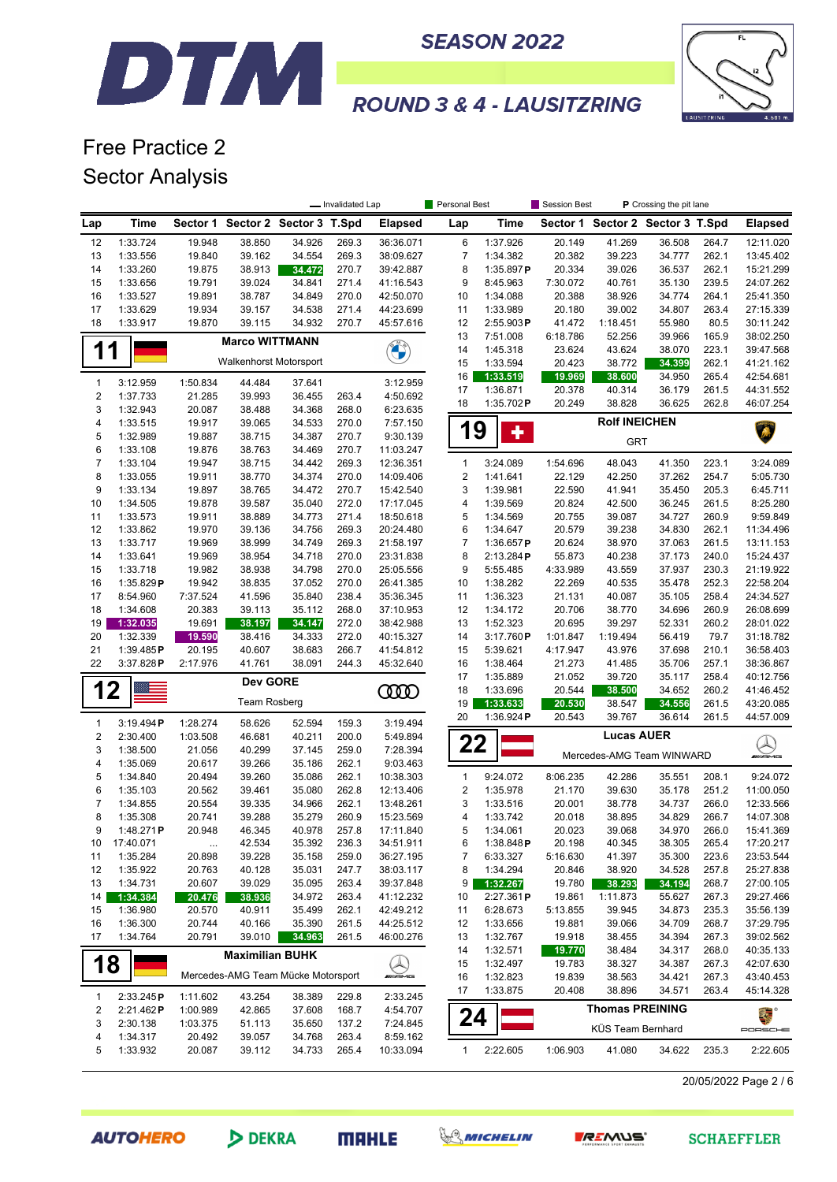



Free Practice 2 Sector Analysis

DTM

|                     |                          | Personal Best<br>Session Best<br>- Invalidated Lap<br>P Crossing the pit lane |                        |                                    |                |                        |                          |                      |                    |                                  |                  |                |                        |
|---------------------|--------------------------|-------------------------------------------------------------------------------|------------------------|------------------------------------|----------------|------------------------|--------------------------|----------------------|--------------------|----------------------------------|------------------|----------------|------------------------|
| Lap                 | Time                     |                                                                               |                        | Sector 1 Sector 2 Sector 3 T.Spd   |                | <b>Elapsed</b>         | Lap                      | <b>Time</b>          |                    | Sector 1 Sector 2 Sector 3 T.Spd |                  |                | <b>Elapsed</b>         |
| 12                  | 1:33.724                 | 19.948                                                                        | 38.850                 | 34.926                             | 269.3          | 36:36.071              | 6                        | 1:37.926             | 20.149             | 41.269                           | 36.508           | 264.7          | 12:11.020              |
| 13                  | 1:33.556                 | 19.840                                                                        | 39.162                 | 34.554                             | 269.3          | 38:09.627              | $\overline{7}$           | 1:34.382             | 20.382             | 39.223                           | 34.777           | 262.1          | 13:45.402              |
| 14                  | 1:33.260                 | 19.875                                                                        | 38.913                 | 34.472                             | 270.7          | 39:42.887              | 8                        | 1:35.897P            | 20.334             | 39.026                           | 36.537           | 262.1          | 15:21.299              |
| 15                  | 1:33.656                 | 19.791                                                                        | 39.024                 | 34.841                             | 271.4          | 41:16.543              | 9                        | 8:45.963             | 7:30.072           | 40.761                           | 35.130           | 239.5          | 24:07.262              |
| 16<br>17            | 1:33.527<br>1:33.629     | 19.891<br>19.934                                                              | 38.787<br>39.157       | 34.849<br>34.538                   | 270.0<br>271.4 | 42:50.070<br>44:23.699 | 10<br>11                 | 1:34.088<br>1:33.989 | 20.388<br>20.180   | 38.926<br>39.002                 | 34.774<br>34.807 | 264.1<br>263.4 | 25:41.350<br>27:15.339 |
| 18                  | 1:33.917                 | 19.870                                                                        | 39.115                 | 34.932                             | 270.7          | 45:57.616              | 12                       | 2:55.903P            | 41.472             | 1:18.451                         | 55.980           | 80.5           | 30:11.242              |
|                     |                          |                                                                               |                        |                                    |                |                        | 13                       | 7:51.008             | 6:18.786           | 52.256                           | 39.966           | 165.9          | 38:02.250              |
| 1                   | 1                        |                                                                               | <b>Marco WITTMANN</b>  |                                    |                | <b>CALCIO</b>          | 14                       | 1:45.318             | 23.624             | 43.624                           | 38.070           | 223.1          | 39:47.568              |
|                     |                          |                                                                               | Walkenhorst Motorsport |                                    |                |                        | 15                       | 1:33.594             | 20.423             | 38.772                           | 34.399           | 262.1          | 41:21.162              |
| $\mathbf{1}$        | 3:12.959                 | 1:50.834                                                                      | 44.484                 | 37.641                             |                | 3:12.959               | 16                       | 1:33.519             | 19.969             | 38.600                           | 34.950           | 265.4          | 42:54.681              |
| $\sqrt{2}$          | 1:37.733                 | 21.285                                                                        | 39.993                 | 36.455                             | 263.4          | 4:50.692               | 17                       | 1:36.871             | 20.378             | 40.314                           | 36.179           | 261.5          | 44:31.552              |
| 3                   | 1:32.943                 | 20.087                                                                        | 38.488                 | 34.368                             | 268.0          | 6:23.635               | 18                       | 1:35.702P            | 20.249             | 38.828                           | 36.625           | 262.8          | 46:07.254              |
| 4                   | 1:33.515                 | 19.917                                                                        | 39.065                 | 34.533                             | 270.0          | 7:57.150               |                          |                      |                    | <b>Rolf INEICHEN</b>             |                  |                |                        |
| 5                   | 1:32.989                 | 19.887                                                                        | 38.715                 | 34.387                             | 270.7          | 9:30.139               | 19                       | ٠                    |                    | <b>GRT</b>                       |                  |                | Â                      |
| 6                   | 1:33.108                 | 19.876                                                                        | 38.763                 | 34.469                             | 270.7          | 11:03.247              |                          |                      |                    |                                  |                  |                |                        |
| $\overline{7}$      | 1:33.104                 | 19.947                                                                        | 38.715                 | 34.442                             | 269.3          | 12:36.351              | 1                        | 3:24.089             | 1:54.696           | 48.043                           | 41.350           | 223.1          | 3:24.089               |
| 8                   | 1:33.055                 | 19.911                                                                        | 38.770                 | 34.374                             | 270.0          | 14:09.406              | $\boldsymbol{2}$         | 1:41.641             | 22.129             | 42.250                           | 37.262           | 254.7          | 5:05.730               |
| 9                   | 1:33.134                 | 19.897                                                                        | 38.765                 | 34.472                             | 270.7          | 15:42.540              | 3                        | 1:39.981             | 22.590             | 41.941                           | 35.450           | 205.3          | 6:45.711               |
| 10                  | 1:34.505<br>1:33.573     | 19.878                                                                        | 39.587                 | 35.040                             | 272.0          | 17:17.045              | 4<br>5                   | 1:39.569             | 20.824<br>20.755   | 42.500                           | 36.245           | 261.5          | 8:25.280<br>9:59.849   |
| 11<br>12            | 1:33.862                 | 19.911<br>19.970                                                              | 38.889<br>39.136       | 34.773<br>34.756                   | 271.4<br>269.3 | 18:50.618<br>20:24.480 | 6                        | 1:34.569<br>1:34.647 | 20.579             | 39.087<br>39.238                 | 34.727<br>34.830 | 260.9<br>262.1 | 11:34.496              |
| 13                  | 1:33.717                 | 19.969                                                                        | 38.999                 | 34.749                             | 269.3          | 21:58.197              | $\overline{\mathcal{I}}$ | 1:36.657P            | 20.624             | 38.970                           | 37.063           | 261.5          | 13:11.153              |
| 14                  | 1:33.641                 | 19.969                                                                        | 38.954                 | 34.718                             | 270.0          | 23:31.838              | 8                        | 2:13.284P            | 55.873             | 40.238                           | 37.173           | 240.0          | 15:24.437              |
| 15                  | 1:33.718                 | 19.982                                                                        | 38.938                 | 34.798                             | 270.0          | 25:05.556              | 9                        | 5:55.485             | 4:33.989           | 43.559                           | 37.937           | 230.3          | 21:19.922              |
| 16                  | 1:35.829P                | 19.942                                                                        | 38.835                 | 37.052                             | 270.0          | 26:41.385              | 10                       | 1:38.282             | 22.269             | 40.535                           | 35.478           | 252.3          | 22:58.204              |
| 17                  | 8:54.960                 | 7:37.524                                                                      | 41.596                 | 35.840                             | 238.4          | 35:36.345              | 11                       | 1:36.323             | 21.131             | 40.087                           | 35.105           | 258.4          | 24:34.527              |
| 18                  | 1:34.608                 | 20.383                                                                        | 39.113                 | 35.112                             | 268.0          | 37:10.953              | 12                       | 1:34.172             | 20.706             | 38.770                           | 34.696           | 260.9          | 26:08.699              |
| 19                  | 1:32.035                 | 19.691                                                                        | 38.197                 | 34.147                             | 272.0          | 38:42.988              | 13                       | 1:52.323             | 20.695             | 39.297                           | 52.331           | 260.2          | 28:01.022              |
| 20                  | 1:32.339                 | 19.590                                                                        | 38.416                 | 34.333                             | 272.0          | 40:15.327              | 14                       | 3:17.760P            | 1:01.847           | 1:19.494                         | 56.419           | 79.7           | 31:18.782              |
| 21<br>22            | 1:39.485P<br>3:37.828P   | 20.195<br>2:17.976                                                            | 40.607<br>41.761       | 38.683<br>38.091                   | 266.7<br>244.3 | 41:54.812<br>45:32.640 | 15<br>16                 | 5:39.621<br>1:38.464 | 4:17.947<br>21.273 | 43.976<br>41.485                 | 37.698<br>35.706 | 210.1<br>257.1 | 36:58.403<br>38:36.867 |
|                     |                          |                                                                               |                        |                                    |                |                        | 17                       | 1:35.889             | 21.052             | 39.720                           | 35.117           | 258.4          | 40:12.756              |
| 12                  |                          |                                                                               | <b>Dev GORE</b>        |                                    |                | <b>COOD</b>            | 18                       | 1:33.696             | 20.544             | 38.500                           | 34.652           | 260.2          | 41:46.452              |
|                     |                          |                                                                               | <b>Team Rosberg</b>    |                                    |                |                        | 19                       | 1:33.633             | 20.530             | 38.547                           | 34.556           | 261.5          | 43:20.085              |
| $\mathbf{1}$        | 3:19.494P                | 1:28.274                                                                      | 58.626                 | 52.594                             | 159.3          | 3:19.494               | 20                       | 1:36.924 $P$         | 20.543             | 39.767                           | 36.614           | 261.5          | 44:57.009              |
| $\sqrt{2}$          | 2:30.400                 | 1:03.508                                                                      | 46.681                 | 40.211                             | 200.0          | 5:49.894               |                          |                      |                    | <b>Lucas AUER</b>                |                  |                |                        |
| 3                   | 1:38.500                 | 21.056                                                                        | 40.299                 | 37.145                             | 259.0          | 7:28.394               | 22                       |                      |                    | Mercedes-AMG Team WINWARD        |                  |                | Q<br>Aliana            |
| 4                   | 1:35.069                 | 20.617                                                                        | 39.266                 | 35.186                             | 262.1          | 9:03.463               |                          |                      |                    |                                  |                  |                |                        |
| 5                   | 1:34.840                 | 20.494                                                                        | 39.260                 | 35.086                             | 262.1          | 10:38.303              | 1                        | 9:24.072             | 8:06.235           | 42.286                           | 35.551           | 208.1          | 9:24.072               |
| 6                   | 1:35.103                 | 20.562                                                                        | 39.461                 | 35.080                             | 262.8          | 12:13.406              | $\overline{\mathbf{c}}$  | 1:35.978             | 21.170             | 39.630                           | 35.178           | 251.2          | 11:00.050              |
| $\overline{7}$<br>8 | 1:34.855                 | 20.554                                                                        | 39.335                 | 34.966                             | 262.1          | 13:48.261<br>15:23.569 | 3<br>4                   | 1:33.516<br>1:33.742 | 20.001             | 38.778                           | 34.737           | 266.0<br>266.7 | 12:33.566              |
| 9                   | 1:35.308<br>1:48.271 $P$ | 20.741<br>20.948                                                              | 39.288<br>46.345       | 35.279<br>40.978                   | 260.9<br>257.8 | 17:11.840              | 5                        | 1:34.061             | 20.018<br>20.023   | 38.895<br>39.068                 | 34.829<br>34.970 | 266.0          | 14:07.308<br>15:41.369 |
| 10                  | 17:40.071                |                                                                               | 42.534                 | 35.392                             | 236.3          | 34:51.911              | 6                        | 1:38.848P            | 20.198             | 40.345                           | 38.305           | 265.4          | 17:20.217              |
| 11                  | 1:35.284                 | 20.898                                                                        | 39.228                 | 35.158                             | 259.0          | 36:27.195              | 7                        | 6:33.327             | 5:16.630           | 41.397                           | 35.300           | 223.6          | 23:53.544              |
| 12                  | 1:35.922                 | 20.763                                                                        | 40.128                 | 35.031                             | 247.7          | 38:03.117              | 8                        | 1:34.294             | 20.846             | 38.920                           | 34.528           | 257.8          | 25:27.838              |
| 13                  | 1:34.731                 | 20.607                                                                        | 39.029                 | 35.095                             | 263.4          | 39:37.848              | 9                        | 1:32.267             | 19.780             | 38.293                           | 34.194           | 268.7          | 27:00.105              |
| 14                  | 1:34.384                 | 20.476                                                                        | 38.936                 | 34.972                             | 263.4          | 41:12.232              | 10                       | 2:27.361P            | 19.861             | 1:11.873                         | 55.627           | 267.3          | 29:27.466              |
| 15                  | 1:36.980                 | 20.570                                                                        | 40.911                 | 35.499                             | 262.1          | 42:49.212              | 11                       | 6:28.673             | 5:13.855           | 39.945                           | 34.873           | 235.3          | 35:56.139              |
| 16                  | 1:36.300                 | 20.744                                                                        | 40.166                 | 35.390                             | 261.5          | 44:25.512              | 12                       | 1:33.656             | 19.881             | 39.066                           | 34.709           | 268.7          | 37:29.795              |
| 17                  | 1:34.764                 | 20.791                                                                        | 39.010                 | 34.963                             | 261.5          | 46:00.276              | 13                       | 1:32.767             | 19.918             | 38.455                           | 34.394           | 267.3          | 39:02.562              |
|                     |                          |                                                                               | <b>Maximilian BUHK</b> |                                    |                |                        | 14                       | 1:32.571             | 19.770             | 38.484                           | 34.317           | 268.0          | 40:35.133              |
| 18                  |                          |                                                                               |                        | Mercedes-AMG Team Mücke Motorsport |                | <i>en</i> Albert       | 15<br>16                 | 1:32.497<br>1:32.823 | 19.783<br>19.839   | 38.327<br>38.563                 | 34.387<br>34.421 | 267.3<br>267.3 | 42:07.630<br>43:40.453 |
|                     |                          |                                                                               |                        |                                    |                |                        | 17                       | 1:33.875             | 20.408             | 38.896                           | 34.571           | 263.4          | 45:14.328              |
| $\mathbf{1}$        | 2:33.245P                | 1:11.602                                                                      | 43.254                 | 38.389                             | 229.8          | 2:33.245               |                          |                      |                    |                                  |                  |                |                        |
| 2                   | 2:21.462P                | 1:00.989                                                                      | 42.865                 | 37.608                             | 168.7          | 4:54.707               | 24                       |                      |                    | <b>Thomas PREINING</b>           |                  |                | 靏                      |
| 3<br>4              | 2:30.138<br>1:34.317     | 1:03.375                                                                      | 51.113<br>39.057       | 35.650<br>34.768                   | 137.2<br>263.4 | 7:24.845               |                          |                      |                    | KÜS Team Bernhard                |                  |                | PORSCHE                |
| 5                   | 1:33.932                 | 20.492<br>20.087                                                              | 39.112                 | 34.733                             | 265.4          | 8:59.162<br>10:33.094  | 1                        | 2:22.605             | 1:06.903           | 41.080                           | 34.622           | 235.3          | 2:22.605               |
|                     |                          |                                                                               |                        |                                    |                |                        |                          |                      |                    |                                  |                  |                |                        |

20/05/2022 Page 2 / 6

**AUTOHERO** 

DEKRA





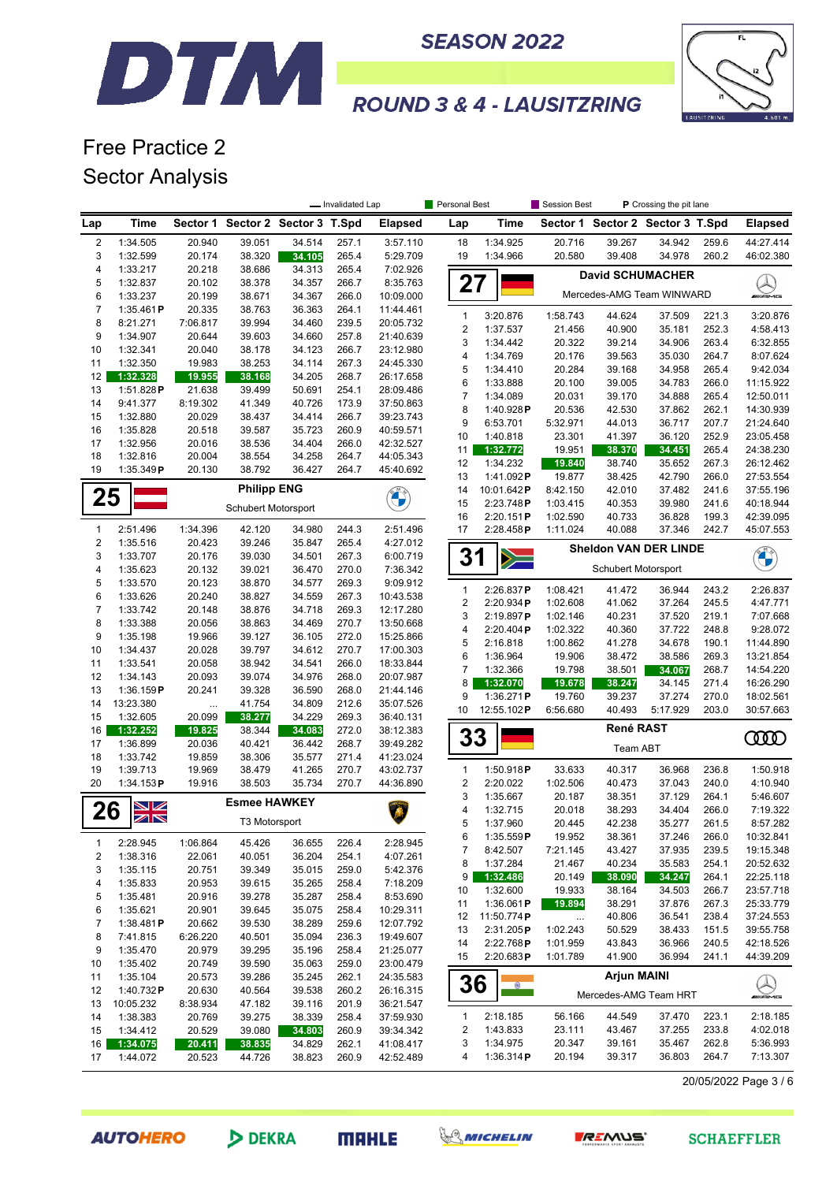#### **SEASON 2022**



# **ROUND 3 & 4 - LAUSITZRING**

## Free Practice 2 Sector Analysis

DTM

|                |                        |                    |                                  |                  | - Invalidated Lap |                        | Personal Best |                         | Session Best<br>P Crossing the pit lane |                     |                                  |                |                        |
|----------------|------------------------|--------------------|----------------------------------|------------------|-------------------|------------------------|---------------|-------------------------|-----------------------------------------|---------------------|----------------------------------|----------------|------------------------|
| Lap            | Time                   |                    | Sector 1 Sector 2 Sector 3 T.Spd |                  |                   | <b>Elapsed</b>         | Lap           | Time                    |                                         |                     | Sector 1 Sector 2 Sector 3 T.Spd |                | <b>Elapsed</b>         |
| $\sqrt{2}$     | 1:34.505               | 20.940             | 39.051                           | 34.514           | 257.1             | 3:57.110               | 18            | 1:34.925                | 20.716                                  | 39.267              | 34.942                           | 259.6          | 44:27.414              |
| 3              | 1:32.599               | 20.174             | 38.320                           | 34.105           | 265.4             | 5:29.709               | 19            | 1:34.966                | 20.580                                  | 39.408              | 34.978                           | 260.2          | 46:02.380              |
| 4              | 1:33.217               | 20.218             | 38.686                           | 34.313           | 265.4             | 7:02.926               |               |                         |                                         |                     | <b>David SCHUMACHER</b>          |                |                        |
| 5<br>6         | 1:32.837<br>1:33.237   | 20.102<br>20.199   | 38.378<br>38.671                 | 34.357<br>34.367 | 266.7<br>266.0    | 8:35.763<br>10:09.000  | 27            |                         |                                         |                     | Mercedes-AMG Team WINWARD        |                | <i>we</i> ns           |
| 7              | 1:35.461P              | 20.335             | 38.763                           | 36.363           | 264.1             | 11:44.461              |               |                         |                                         |                     |                                  |                |                        |
| 8              | 8:21.271               | 7:06.817           | 39.994                           | 34.460           | 239.5             | 20:05.732              | 1             | 3:20.876                | 1:58.743                                | 44.624              | 37.509                           | 221.3          | 3:20.876               |
| 9              | 1:34.907               | 20.644             | 39.603                           | 34.660           | 257.8             | 21:40.639              | 2             | 1:37.537                | 21.456                                  | 40.900              | 35.181                           | 252.3          | 4:58.413               |
| 10             | 1:32.341               | 20.040             | 38.178                           | 34.123           | 266.7             | 23:12.980              | 3<br>4        | 1:34.442<br>1:34.769    | 20.322<br>20.176                        | 39.214<br>39.563    | 34.906<br>35.030                 | 263.4<br>264.7 | 6:32.855<br>8:07.624   |
| 11             | 1:32.350               | 19.983             | 38.253                           | 34.114           | 267.3             | 24:45.330              | 5             | 1:34.410                | 20.284                                  | 39.168              | 34.958                           | 265.4          | 9:42.034               |
| 12             | 1:32.328               | 19.955             | 38.168                           | 34.205           | 268.7             | 26:17.658              | 6             | 1:33.888                | 20.100                                  | 39.005              | 34.783                           | 266.0          | 11:15.922              |
| 13             | 1:51.828P<br>9:41.377  | 21.638<br>8:19.302 | 39.499<br>41.349                 | 50.691<br>40.726 | 254.1<br>173.9    | 28:09.486              | 7             | 1:34.089                | 20.031                                  | 39.170              | 34.888                           | 265.4          | 12:50.011              |
| 14<br>15       | 1:32.880               | 20.029             | 38.437                           | 34.414           | 266.7             | 37:50.863<br>39:23.743 | 8             | 1:40.928 $P$            | 20.536                                  | 42.530              | 37.862                           | 262.1          | 14:30.939              |
| 16             | 1:35.828               | 20.518             | 39.587                           | 35.723           | 260.9             | 40:59.571              | 9             | 6:53.701                | 5:32.971                                | 44.013              | 36.717                           | 207.7          | 21:24.640              |
| 17             | 1:32.956               | 20.016             | 38.536                           | 34.404           | 266.0             | 42:32.527              | 10            | 1:40.818                | 23.301                                  | 41.397              | 36.120                           | 252.9          | 23:05.458              |
| 18             | 1:32.816               | 20.004             | 38.554                           | 34.258           | 264.7             | 44:05.343              | 11<br>12      | 1:32.772<br>1:34.232    | 19.951<br>19.840                        | 38.370<br>38.740    | 34.451<br>35.652                 | 265.4<br>267.3 | 24:38.230<br>26:12.462 |
| 19             | 1:35.349P              | 20.130             | 38.792                           | 36.427           | 264.7             | 45:40.692              | 13            | 1:41.092P               | 19.877                                  | 38.425              | 42.790                           | 266.0          | 27:53.554              |
|                |                        |                    | <b>Philipp ENG</b>               |                  |                   |                        | 14            | 10:01.642P              | 8:42.150                                | 42.010              | 37.482                           | 241.6          | 37:55.196              |
| 25             |                        |                    |                                  |                  |                   | <b>COMPANY</b>         | 15            | 2:23.748P               | 1:03.415                                | 40.353              | 39.980                           | 241.6          | 40:18.944              |
|                |                        |                    | <b>Schubert Motorsport</b>       |                  |                   |                        | 16            | 2:20.151P               | 1:02.590                                | 40.733              | 36.828                           | 199.3          | 42:39.095              |
| 1              | 2:51.496               | 1:34.396           | 42.120                           | 34.980           | 244.3             | 2:51.496               | 17            | 2:28.458P               | 1:11.024                                | 40.088              | 37.346                           | 242.7          | 45:07.553              |
| $\sqrt{2}$     | 1:35.516               | 20.423             | 39.246                           | 35.847           | 265.4             | 4:27.012               |               |                         |                                         |                     | <b>Sheldon VAN DER LINDE</b>     |                |                        |
| 3              | 1:33.707               | 20.176             | 39.030                           | 34.501           | 267.3             | 6:00.719               | 31            |                         |                                         | Schubert Motorsport |                                  |                | <b>CALCON</b>          |
| 4<br>5         | 1:35.623<br>1:33.570   | 20.132<br>20.123   | 39.021<br>38.870                 | 36.470<br>34.577 | 270.0<br>269.3    | 7:36.342<br>9:09.912   |               |                         |                                         |                     |                                  |                |                        |
| 6              | 1:33.626               | 20.240             | 38.827                           | 34.559           | 267.3             | 10:43.538              | 1             | 2:26.837P               | 1:08.421                                | 41.472              | 36.944                           | 243.2          | 2:26.837               |
| 7              | 1:33.742               | 20.148             | 38.876                           | 34.718           | 269.3             | 12:17.280              | 2             | 2:20.934P               | 1:02.608                                | 41.062              | 37.264                           | 245.5          | 4:47.771               |
| 8              | 1:33.388               | 20.056             | 38.863                           | 34.469           | 270.7             | 13:50.668              | 3             | 2:19.897P               | 1:02.146                                | 40.231              | 37.520                           | 219.1          | 7:07.668               |
| 9              | 1:35.198               | 19.966             | 39.127                           | 36.105           | 272.0             | 15:25.866              | 4<br>5        | 2:20.404P<br>2:16.818   | 1:02.322<br>1:00.862                    | 40.360<br>41.278    | 37.722<br>34.678                 | 248.8<br>190.1 | 9:28.072<br>11:44.890  |
| 10             | 1:34.437               | 20.028             | 39.797                           | 34.612           | 270.7             | 17:00.303              | 6             | 1:36.964                | 19.906                                  | 38.472              | 38.586                           | 269.3          | 13:21.854              |
| 11             | 1:33.541               | 20.058             | 38.942                           | 34.541           | 266.0             | 18:33.844              | 7             | 1:32.366                | 19.798                                  | 38.501              | 34.067                           | 268.7          | 14:54.220              |
| 12             | 1:34.143               | 20.093             | 39.074                           | 34.976           | 268.0             | 20:07.987              | 8             | 1:32.070                | 19.678                                  | 38.247              | 34.145                           | 271.4          | 16:26.290              |
| 13<br>14       | 1:36.159P<br>13:23.380 | 20.241             | 39.328<br>41.754                 | 36.590<br>34.809 | 268.0<br>212.6    | 21:44.146<br>35:07.526 | 9             | 1:36.271P               | 19.760                                  | 39.237              | 37.274                           | 270.0          | 18:02.561              |
| 15             | 1:32.605               | <br>20.099         | 38.277                           | 34.229           | 269.3             | 36:40.131              | 10            | 12:55.102P              | 6:56.680                                | 40.493              | 5:17.929                         | 203.0          | 30:57.663              |
| 16             | 1:32.252               | 19.825             | 38.344                           | 34.083           | 272.0             | 38:12.383              |               |                         |                                         | <b>René RAST</b>    |                                  |                |                        |
| 17             | 1:36.899               | 20.036             | 40.421                           | 36.442           | 268.7             | 39:49.282              | 33            |                         |                                         | Team ABT            |                                  |                | <b>COOD</b>            |
| 18             | 1:33.742               | 19.859             | 38.306                           | 35.577           | 271.4             | 41:23.024              |               |                         |                                         |                     |                                  |                |                        |
| 19             | 1:39.713               | 19.969             | 38.479                           | 41.265           | 270.7             | 43:02.737              | 1             | 1:50.918P               | 33.633                                  | 40.317              | 36.968                           | 236.8          | 1:50.918               |
| 20             | 1:34.153P              | 19.916             | 38.503                           | 35.734           | 270.7             | 44:36.890              | 2<br>3        | 2:20.022                | 1:02.506<br>20.187                      | 40.473<br>38.351    | 37.043<br>37.129                 | 240.0<br>264.1 | 4:10.940               |
|                |                        |                    | <b>Esmee HAWKEY</b>              |                  |                   |                        | 4             | 1:35.667<br>1:32.715    | 20.018                                  | 38.293              | 34.404                           | 266.0          | 5:46.607<br>7:19.322   |
| 26             | ZN                     |                    | T3 Motorsport                    |                  |                   |                        | 5             | 1:37.960                | 20.445                                  | 42.238              | 35.277                           | 261.5          | 8:57.282               |
|                |                        |                    |                                  |                  |                   |                        | 6             | 1:35.559P               | 19.952                                  | 38.361              | 37.246                           | 266.0          | 10:32.841              |
| 1<br>2         | 2:28.945<br>1:38.316   | 1:06.864           | 45.426                           | 36.655           | 226.4             | 2:28.945               | 7             | 8:42.507                | 7:21.145                                | 43.427              | 37.935                           | 239.5          | 19:15.348              |
| 3              | 1:35.115               | 22.061<br>20.751   | 40.051<br>39.349                 | 36.204<br>35.015 | 254.1<br>259.0    | 4:07.261<br>5:42.376   | 8             | 1:37.284                | 21.467                                  | 40.234              | 35.583                           | 254.1          | 20:52.632              |
| 4              | 1:35.833               | 20.953             | 39.615                           | 35.265           | 258.4             | 7:18.209               | 9             | 1:32.486                | 20.149                                  | 38.090              | 34.247                           | 264.1          | 22:25.118              |
| 5              | 1:35.481               | 20.916             | 39.278                           | 35.287           | 258.4             | 8:53.690               | 10            | 1:32.600                | 19.933                                  | 38.164              | 34.503                           | 266.7          | 23:57.718              |
| 6              | 1:35.621               | 20.901             | 39.645                           | 35.075           | 258.4             | 10:29.311              | 11<br>12      | 1:36.061P<br>11:50.774P | 19.894                                  | 38.291<br>40.806    | 37.876                           | 267.3<br>238.4 | 25:33.779<br>37:24.553 |
| $\overline{7}$ | 1:38.481P              | 20.662             | 39.530                           | 38.289           | 259.6             | 12:07.792              | 13            | 2:31.205P               | $\ldots$<br>1:02.243                    | 50.529              | 36.541<br>38.433                 | 151.5          | 39:55.758              |
| 8              | 7:41.815               | 6:26.220           | 40.501                           | 35.094           | 236.3             | 19:49.607              | 14            | 2:22.768P               | 1:01.959                                | 43.843              | 36.966                           | 240.5          | 42:18.526              |
| 9              | 1:35.470               | 20.979             | 39.295                           | 35.196           | 258.4             | 21:25.077              | 15            | 2:20.683P               | 1:01.789                                | 41.900              | 36.994                           | 241.1          | 44:39.209              |
| 10<br>11       | 1:35.402<br>1:35.104   | 20.749<br>20.573   | 39.590<br>39.286                 | 35.063<br>35.245 | 259.0<br>262.1    | 23:00.479<br>24:35.583 |               |                         |                                         | <b>Arjun MAINI</b>  |                                  |                |                        |
| 12             | 1:40.732P              | 20.630             | 40.564                           | 39.538           | 260.2             | 26:16.315              | 36            | $\bullet$               |                                         |                     |                                  |                |                        |
| 13             | 10:05.232              | 8:38.934           | 47.182                           | 39.116           | 201.9             | 36:21.547              |               |                         |                                         |                     | Mercedes-AMG Team HRT            |                | <i>w</i> ans           |
| 14             | 1:38.383               | 20.769             | 39.275                           | 38.339           | 258.4             | 37:59.930              | 1             | 2:18.185                | 56.166                                  | 44.549              | 37.470                           | 223.1          | 2:18.185               |
| 15             | 1:34.412               | 20.529             | 39.080                           | 34.803           | 260.9             | 39:34.342              | 2             | 1:43.833                | 23.111                                  | 43.467              | 37.255                           | 233.8          | 4:02.018               |
| 16             | 1:34.075               | 20.411             | 38.835                           | 34.829           | 262.1             | 41:08.417              | 3             | 1:34.975                | 20.347                                  | 39.161              | 35.467                           | 262.8          | 5:36.993               |
| 17             | 1:44.072               | 20.523             | 44.726                           | 38.823           | 260.9             | 42:52.489              | 4             | 1:36.314P               | 20.194                                  | 39.317              | 36.803                           | 264.7          | 7:13.307               |
|                |                        |                    |                                  |                  |                   |                        |               |                         |                                         |                     |                                  |                |                        |

20/05/2022 Page 3 / 6

**AUTOHERO** 

DEKRA





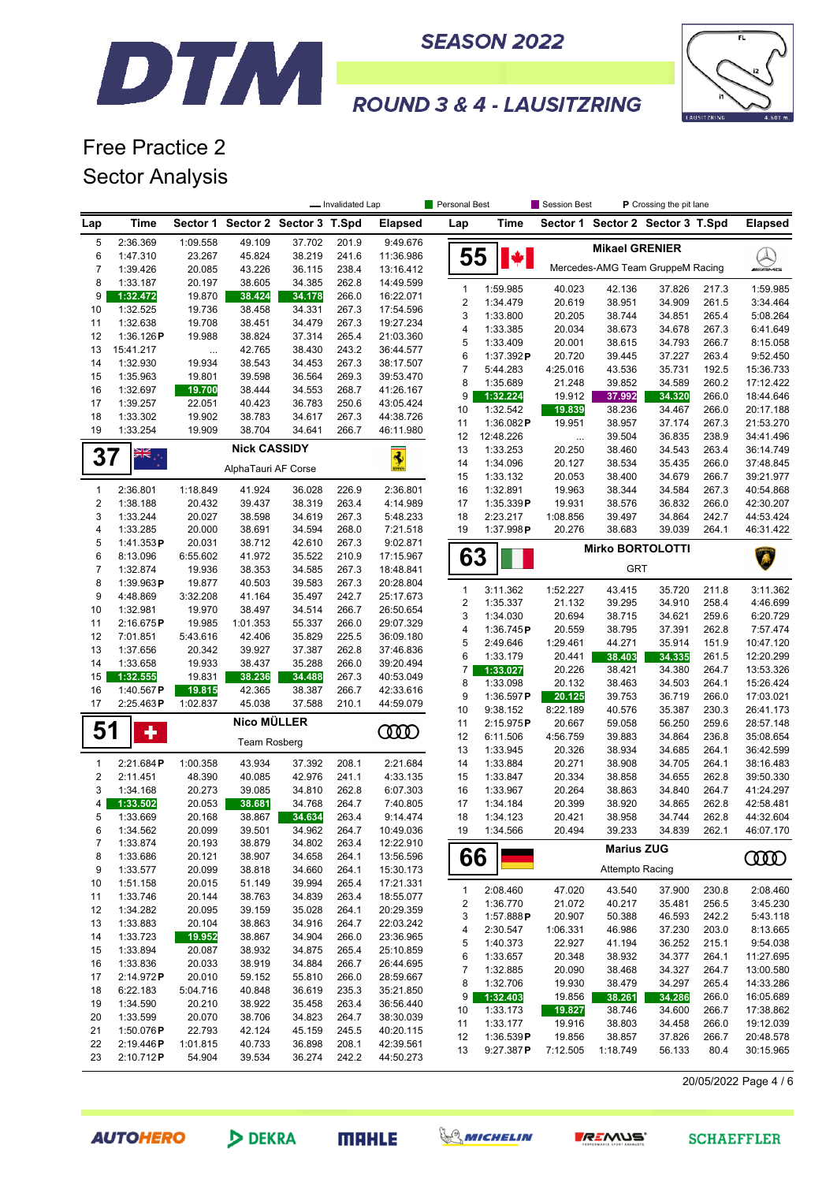



## Free Practice 2 Sector Analysis

DTM

|                |                       |                  |                     |                                  | - Invalidated Lap |                         | Personal Best       |                           | Session Best       | P Crossing the pit lane |                                  |                |                        |
|----------------|-----------------------|------------------|---------------------|----------------------------------|-------------------|-------------------------|---------------------|---------------------------|--------------------|-------------------------|----------------------------------|----------------|------------------------|
| Lap            | Time                  |                  |                     | Sector 1 Sector 2 Sector 3 T.Spd |                   | <b>Elapsed</b>          | Lap                 | Time                      |                    |                         | Sector 1 Sector 2 Sector 3 T.Spd |                | <b>Elapsed</b>         |
| 5              | 2:36.369              | 1:09.558         | 49.109              | 37.702                           | 201.9             | 9:49.676                |                     |                           |                    | <b>Mikael GRENIER</b>   |                                  |                |                        |
| 6              | 1:47.310              | 23.267           | 45.824              | 38.219                           | 241.6             | 11:36.986               | 55                  | ₩                         |                    |                         |                                  |                | $\blacktriangle$       |
| $\overline{7}$ | 1:39.426<br>1:33.187  | 20.085           | 43.226<br>38.605    | 36.115                           | 238.4             | 13:16.412               |                     |                           |                    |                         | Mercedes-AMG Team GruppeM Racing |                | <i><b>MARING</b></i>   |
| 8<br>9         | 1:32.472              | 20.197<br>19.870 | 38.424              | 34.385<br>34.178                 | 262.8<br>266.0    | 14:49.599<br>16:22.071  | $\mathbf{1}$        | 1:59.985                  | 40.023             | 42.136                  | 37.826                           | 217.3          | 1:59.985               |
| 10             | 1:32.525              | 19.736           | 38.458              | 34.331                           | 267.3             | 17:54.596               | $\boldsymbol{2}$    | 1:34.479                  | 20.619             | 38.951                  | 34.909                           | 261.5          | 3:34.464               |
| 11             | 1:32.638              | 19.708           | 38.451              | 34.479                           | 267.3             | 19:27.234               | 3                   | 1:33.800                  | 20.205             | 38.744                  | 34.851                           | 265.4          | 5:08.264               |
| 12             | 1:36.126 $P$          | 19.988           | 38.824              | 37.314                           | 265.4             | 21:03.360               | 4                   | 1:33.385                  | 20.034             | 38.673                  | 34.678                           | 267.3          | 6:41.649               |
| 13             | 15:41.217             | $\cdots$         | 42.765              | 38.430                           | 243.2             | 36:44.577               | $\sqrt{5}$          | 1:33.409                  | 20.001             | 38.615                  | 34.793                           | 266.7          | 8:15.058               |
| 14             | 1:32.930              | 19.934           | 38.543              | 34.453                           | 267.3             | 38:17.507               | 6<br>$\overline{7}$ | 1:37.392P<br>5:44.283     | 20.720<br>4:25.016 | 39.445<br>43.536        | 37.227<br>35.731                 | 263.4<br>192.5 | 9:52.450<br>15:36.733  |
| 15             | 1:35.963              | 19.801           | 39.598              | 36.564                           | 269.3             | 39:53.470               | 8                   | 1:35.689                  | 21.248             | 39.852                  | 34.589                           | 260.2          | 17:12.422              |
| 16             | 1:32.697              | 19.700           | 38.444              | 34.553                           | 268.7             | 41:26.167               | 9                   | 1:32.224                  | 19.912             | 37.992                  | 34.320                           | 266.0          | 18:44.646              |
| 17             | 1:39.257              | 22.051           | 40.423              | 36.783                           | 250.6             | 43:05.424               | 10                  | 1:32.542                  | 19.839             | 38.236                  | 34.467                           | 266.0          | 20:17.188              |
| 18             | 1:33.302              | 19.902           | 38.783              | 34.617                           | 267.3             | 44:38.726               | 11                  | 1:36.082P                 | 19.951             | 38.957                  | 37.174                           | 267.3          | 21:53.270              |
| 19             | 1:33.254              | 19.909           | 38.704              | 34.641                           | 266.7             | 46:11.980               | 12                  | 12:48.226                 | $\cdots$           | 39.504                  | 36.835                           | 238.9          | 34:41.496              |
| 37             | XK                    |                  | <b>Nick CASSIDY</b> |                                  |                   |                         | 13                  | 1:33.253                  | 20.250             | 38.460                  | 34.543                           | 263.4          | 36:14.749              |
|                |                       |                  | AlphaTauri AF Corse |                                  |                   | $\overline{\mathbf{3}}$ | 14                  | 1:34.096                  | 20.127             | 38.534                  | 35.435                           | 266.0          | 37:48.845              |
|                |                       |                  |                     |                                  |                   |                         | 15                  | 1:33.132                  | 20.053             | 38.400                  | 34.679                           | 266.7          | 39:21.977              |
| 1              | 2:36.801              | 1:18.849         | 41.924              | 36.028                           | 226.9             | 2:36.801                | 16                  | 1:32.891                  | 19.963             | 38.344                  | 34.584                           | 267.3          | 40:54.868              |
| $\sqrt{2}$     | 1:38.188              | 20.432           | 39.437<br>38.598    | 38.319                           | 263.4             | 4:14.989                | 17                  | 1:35.339P                 | 19.931             | 38.576                  | 36.832                           | 266.0          | 42:30.207              |
| 3<br>4         | 1:33.244<br>1:33.285  | 20.027<br>20.000 | 38.691              | 34.619<br>34.594                 | 267.3<br>268.0    | 5:48.233<br>7:21.518    | 18<br>19            | 2:23.217<br>1:37.998P     | 1:08.856<br>20.276 | 39.497<br>38.683        | 34.864<br>39.039                 | 242.7<br>264.1 | 44:53.424<br>46:31.422 |
| 5              | 1:41.353 $P$          | 20.031           | 38.712              | 42.610                           | 267.3             | 9:02.871                |                     |                           |                    |                         |                                  |                |                        |
| 6              | 8:13.096              | 6:55.602         | 41.972              | 35.522                           | 210.9             | 17:15.967               | 63                  |                           |                    |                         | <b>Mirko BORTOLOTTI</b>          |                |                        |
| $\overline{7}$ | 1:32.874              | 19.936           | 38.353              | 34.585                           | 267.3             | 18:48.841               |                     |                           |                    | <b>GRT</b>              |                                  |                |                        |
| 8              | 1:39.963P             | 19.877           | 40.503              | 39.583                           | 267.3             | 20:28.804               |                     |                           |                    |                         |                                  |                |                        |
| 9              | 4:48.869              | 3:32.208         | 41.164              | 35.497                           | 242.7             | 25:17.673               | 1<br>2              | 3:11.362<br>1:35.337      | 1:52.227<br>21.132 | 43.415<br>39.295        | 35.720<br>34.910                 | 211.8<br>258.4 | 3:11.362<br>4:46.699   |
| 10             | 1:32.981              | 19.970           | 38.497              | 34.514                           | 266.7             | 26:50.654               | 3                   | 1:34.030                  | 20.694             | 38.715                  | 34.621                           | 259.6          | 6:20.729               |
| 11             | 2:16.675P             | 19.985           | 1:01.353            | 55.337                           | 266.0             | 29:07.329               | 4                   | 1:36.745P                 | 20.559             | 38.795                  | 37.391                           | 262.8          | 7:57.474               |
| 12             | 7:01.851              | 5:43.616         | 42.406              | 35.829                           | 225.5             | 36:09.180               | 5                   | 2:49.646                  | 1:29.461           | 44.271                  | 35.914                           | 151.9          | 10:47.120              |
| 13             | 1:37.656              | 20.342           | 39.927              | 37.387                           | 262.8             | 37:46.836               | 6                   | 1:33.179                  | 20.441             | 38.403                  | 34.335                           | 261.5          | 12:20.299              |
| 14<br>15       | 1:33.658              | 19.933<br>19.831 | 38.437              | 35.288                           | 266.0<br>267.3    | 39:20.494<br>40:53.049  | 7                   | 1:33.027                  | 20.226             | 38.421                  | 34.380                           | 264.7          | 13:53.326              |
| 16             | 1:32.555<br>1:40.567P | 19.815           | 38.236<br>42.365    | 34.488<br>38.387                 | 266.7             | 42:33.616               | 8                   | 1:33.098                  | 20.132             | 38.463                  | 34.503                           | 264.1          | 15:26.424              |
| 17             | 2:25.463P             | 1:02.837         | 45.038              | 37.588                           | 210.1             | 44:59.079               | 9                   | 1:36.597P                 | 20.125             | 39.753                  | 36.719                           | 266.0          | 17:03.021              |
|                |                       |                  |                     |                                  |                   |                         | 10                  | 9:38.152                  | 8:22.189           | 40.576                  | 35.387                           | 230.3          | 26:41.173              |
| 51             | ╋                     |                  | Nico MÜLLER         |                                  |                   | ന്ത                     | 11                  | 2:15.975P                 | 20.667             | 59.058                  | 56.250                           | 259.6          | 28:57.148              |
|                |                       |                  | <b>Team Rosberg</b> |                                  |                   |                         | 12                  | 6:11.506                  | 4:56.759           | 39.883                  | 34.864                           | 236.8          | 35:08.654              |
| $\mathbf{1}$   | 2:21.684P             | 1:00.358         | 43.934              | 37.392                           | 208.1             | 2:21.684                | 13<br>14            | 1:33.945<br>1:33.884      | 20.326<br>20.271   | 38.934<br>38.908        | 34.685<br>34.705                 | 264.1<br>264.1 | 36:42.599<br>38:16.483 |
| $\overline{c}$ | 2:11.451              | 48.390           | 40.085              | 42.976                           | 241.1             | 4:33.135                | 15                  | 1:33.847                  | 20.334             | 38.858                  | 34.655                           | 262.8          | 39:50.330              |
| 3              | 1:34.168              | 20.273           | 39.085              | 34.810                           | 262.8             | 6:07.303                | 16                  | 1:33.967                  | 20.264             | 38.863                  | 34.840                           | 264.7          | 41:24.297              |
| 4              | 1:33.502              | 20.053           | 38.681              | 34.768                           | 264.7             | 7:40.805                | 17                  | 1:34.184                  | 20.399             | 38.920                  | 34.865                           | 262.8          | 42:58.481              |
| 5              | 1:33.669              | 20.168           | 38.867              | 34.634                           | 263.4             | 9:14.474                | 18                  | 1:34.123                  | 20.421             | 38.958                  | 34.744                           | 262.8          | 44:32.604              |
| 6              | 1:34.562              | 20.099           | 39.501              | 34.962                           | 264.7             | 10:49.036               | 19                  | 1:34.566                  | 20.494             | 39.233                  | 34.839                           | 262.1          | 46:07.170              |
| 7              | 1:33.874              | 20.193           | 38.879              | 34.802                           | 263.4             | 12:22.910               |                     |                           |                    | <b>Marius ZUG</b>       |                                  |                |                        |
| 8              | 1:33.686              | 20.121           | 38.907              | 34.658                           | 264.1             | 13:56.596               | 66                  |                           |                    |                         |                                  |                | 0000                   |
| 9              | 1:33.577              | 20.099           | 38.818              | 34.660                           | 264.1             | 15:30.173               |                     |                           |                    | Attempto Racing         |                                  |                |                        |
| 10             | 1:51.158              | 20.015           | 51.149              | 39.994                           | 265.4             | 17:21.331               | 1                   | 2:08.460                  | 47.020             | 43.540                  | 37.900                           | 230.8          | 2:08.460               |
| 11             | 1:33.746              | 20.144           | 38.763              | 34.839                           | 263.4             | 18:55.077               | 2                   | 1:36.770                  | 21.072             | 40.217                  | 35.481                           | 256.5          | 3:45.230               |
| 12             | 1:34.282              | 20.095           | 39.159              | 35.028                           | 264.1             | 20:29.359               | 3                   | 1:57.888P                 | 20.907             | 50.388                  | 46.593                           | 242.2          | 5:43.118               |
| 13             | 1:33.883<br>1:33.723  | 20.104           | 38.863              | 34.916<br>34.904                 | 264.7             | 22:03.242               | 4                   | 2:30.547                  | 1:06.331           | 46.986                  | 37.230                           | 203.0          | 8:13.665               |
| 14<br>15       | 1:33.894              | 19.952<br>20.087 | 38.867<br>38.932    | 34.875                           | 266.0<br>265.4    | 23:36.965<br>25:10.859  | 5                   | 1:40.373                  | 22.927             | 41.194                  | 36.252                           | 215.1          | 9:54.038               |
| 16             | 1:33.836              | 20.033           | 38.919              | 34.884                           | 266.7             | 26:44.695               | 6                   | 1:33.657                  | 20.348             | 38.932                  | 34.377                           | 264.1          | 11:27.695              |
| 17             | 2:14.972P             | 20.010           | 59.152              | 55.810                           | 266.0             | 28:59.667               | 7                   | 1:32.885                  | 20.090             | 38.468                  | 34.327                           | 264.7          | 13:00.580              |
| 18             | 6:22.183              | 5:04.716         | 40.848              | 36.619                           | 235.3             | 35:21.850               | 8                   | 1:32.706                  | 19.930             | 38.479                  | 34.297                           | 265.4          | 14:33.286              |
| 19             | 1:34.590              | 20.210           | 38.922              | 35.458                           | 263.4             | 36:56.440               | 9                   | 1:32.403                  | 19.856             | 38.261                  | 34.286                           | 266.0          | 16:05.689              |
| 20             | 1:33.599              | 20.070           | 38.706              | 34.823                           | 264.7             | 38:30.039               | 10                  | 1:33.173                  | 19.827             | 38.746                  | 34.600                           | 266.7          | 17:38.862              |
| 21             | 1:50.076 $P$          | 22.793           | 42.124              | 45.159                           | 245.5             | 40:20.115               | 11                  | 1:33.177                  | 19.916             | 38.803                  | 34.458                           | 266.0          | 19:12.039              |
| 22             | 2:19.446P             | 1:01.815         | 40.733              | 36.898                           | 208.1             | 42:39.561               | 12<br>13            | 1:36.539P<br>$9:27.387$ P | 19.856<br>7:12.505 | 38.857<br>1:18.749      | 37.826<br>56.133                 | 266.7<br>80.4  | 20:48.578<br>30:15.965 |
| 23             | 2:10.712P             | 54.904           | 39.534              | 36.274                           | 242.2             | 44:50.273               |                     |                           |                    |                         |                                  |                |                        |

20/05/2022 Page 4 / 6

**SCHAEFFLER** 

**AUTOHERO** 

DEKRA

**MRHLE** 



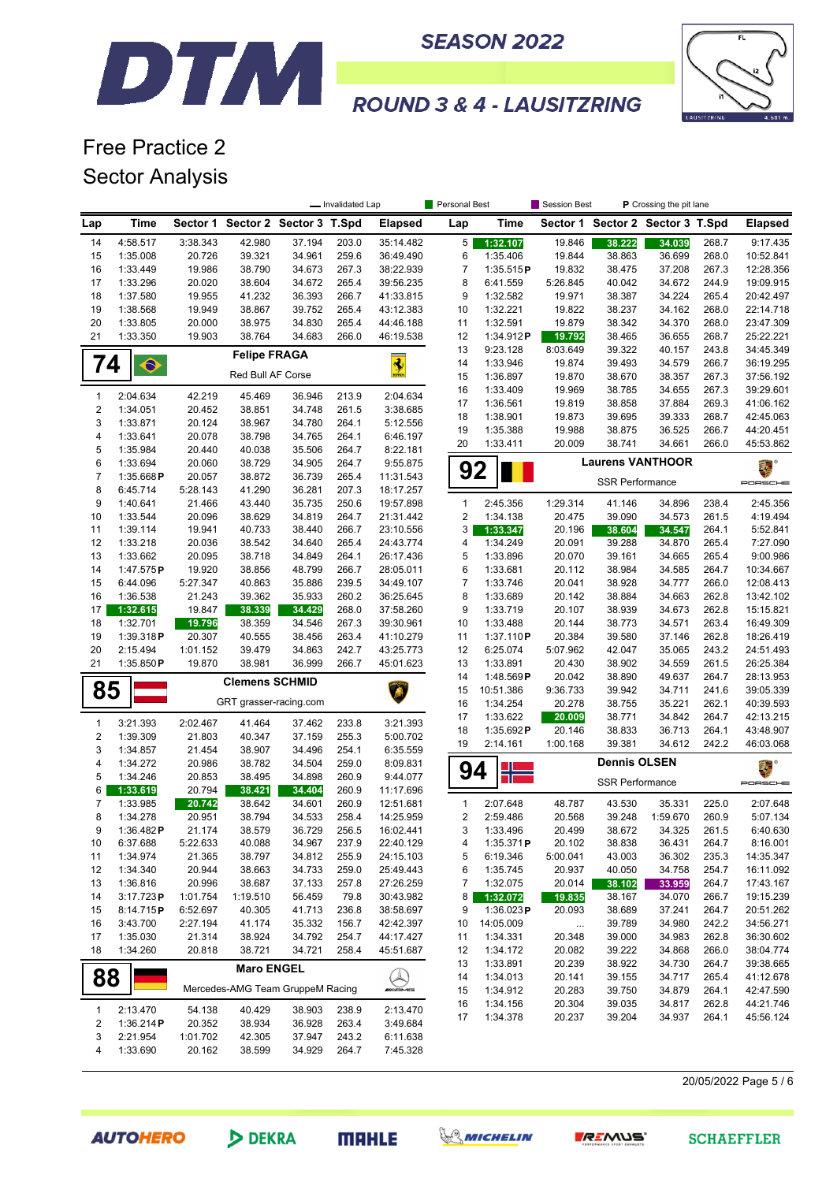



Free Practice 2 Sector Analysis

DTM

|                              |                       | Personal Best<br>Session Best<br>- Invalidated Lap<br>P Crossing the pit lane |                                  |                  |                |                        |                |                        |                    |                                  |                  |                |                        |
|------------------------------|-----------------------|-------------------------------------------------------------------------------|----------------------------------|------------------|----------------|------------------------|----------------|------------------------|--------------------|----------------------------------|------------------|----------------|------------------------|
| Lap                          | Time                  |                                                                               | Sector 1 Sector 2 Sector 3 T.Spd |                  |                | <b>Elapsed</b>         | Lap            | Time                   |                    | Sector 1 Sector 2 Sector 3 T.Spd |                  |                | <b>Elapsed</b>         |
| 14                           | 4:58.517              | 3:38.343                                                                      | 42.980                           | 37.194           | 203.0          | 35:14.482              | 5              | 1:32.107               | 19.846             | 38.222                           | 34.039           | 268.7          | 9:17.435               |
| 15                           | 1:35.008              | 20.726                                                                        | 39.321                           | 34.961           | 259.6          | 36:49.490              | 6              | 1:35.406               | 19.844             | 38.863                           | 36.699           | 268.0          | 10:52.841              |
| 16                           | 1:33.449              | 19.986                                                                        | 38.790                           | 34.673           | 267.3          | 38:22.939              | $\overline{7}$ | 1:35.515P              | 19.832             | 38.475                           | 37.208           | 267.3          | 12:28.356              |
| 17                           | 1:33.296              | 20.020                                                                        | 38.604                           | 34.672           | 265.4          | 39:56.235              | 8              | 6:41.559               | 5:26.845           | 40.042                           | 34.672           | 244.9          | 19:09.915              |
| 18                           | 1:37.580              | 19.955                                                                        | 41.232                           | 36.393           | 266.7          | 41:33.815              | 9              | 1:32.582               | 19.971             | 38.387                           | 34.224           | 265.4          | 20:42.497              |
| 19                           | 1:38.568              | 19.949                                                                        | 38.867                           | 39.752           | 265.4          | 43:12.383              | 10             | 1:32.221               | 19.822             | 38.237                           | 34.162           | 268.0          | 22:14.718              |
| 20                           | 1:33.805              | 20.000                                                                        | 38.975                           | 34.830           | 265.4          | 44:46.188              | 11             | 1:32.591               | 19.879             | 38.342                           | 34.370           | 268.0          | 23:47.309              |
| 21                           | 1:33.350              | 19.903                                                                        | 38.764                           | 34.683           | 266.0          | 46:19.538              | 12             | 1:34.912P              | 19.792             | 38.465                           | 36.655           | 268.7          | 25:22.221              |
|                              |                       |                                                                               | <b>Felipe FRAGA</b>              |                  |                |                        | 13             | 9:23.128               | 8:03.649           | 39.322                           | 40.157           | 243.8          | 34:45.349              |
| 74                           | $\bullet$             |                                                                               | Red Bull AF Corse                |                  |                | $\frac{1}{2}$          | 14<br>15       | 1:33.946<br>1:36.897   | 19.874<br>19.870   | 39.493<br>38.670                 | 34.579<br>38.357 | 266.7<br>267.3 | 36:19.295<br>37:56.192 |
|                              |                       |                                                                               |                                  |                  |                |                        | 16             | 1:33.409               | 19.969             | 38.785                           | 34.655           | 267.3          | 39:29.601              |
| $\mathbf{1}$                 | 2:04.634              | 42.219                                                                        | 45.469                           | 36.946           | 213.9          | 2:04.634               | 17             | 1:36.561               | 19.819             | 38.858                           | 37.884           | 269.3          | 41:06.162              |
| $\mathbf 2$                  | 1:34.051              | 20.452                                                                        | 38.851                           | 34.748           | 261.5          | 3:38.685               | 18             | 1:38.901               | 19.873             | 39.695                           | 39.333           | 268.7          | 42:45.063              |
| 3                            | 1:33.871              | 20.124                                                                        | 38.967                           | 34.780           | 264.1          | 5:12.556               | 19             | 1:35.388               | 19.988             | 38.875                           | 36.525           | 266.7          | 44:20.451              |
| $\overline{\mathbf{4}}$      | 1:33.641              | 20.078                                                                        | 38.798                           | 34.765           | 264.1          | 6:46.197               | 20             | 1:33.411               | 20.009             | 38.741                           | 34.661           | 266.0          | 45:53.862              |
| 5                            | 1:35.984              | 20.440                                                                        | 40.038                           | 35.506           | 264.7          | 8:22.181               |                |                        |                    |                                  |                  |                |                        |
| 6<br>$\overline{7}$          | 1:33.694              | 20.060                                                                        | 38.729                           | 34.905           | 264.7          | 9:55.875               | 92             |                        |                    | <b>Laurens VANTHOOR</b>          |                  |                | 罪。                     |
| 8                            | 1:35.668P<br>6:45.714 | 20.057<br>5:28.143                                                            | 38.872<br>41.290                 | 36.739<br>36.281 | 265.4<br>207.3 | 11:31.543<br>18:17.257 |                |                        |                    | <b>SSR Performance</b>           |                  |                | PORSCHE                |
| 9                            | 1:40.641              | 21.466                                                                        | 43.440                           | 35.735           | 250.6          | 19:57.898              | 1              | 2:45.356               | 1:29.314           | 41.146                           | 34.896           | 238.4          | 2:45.356               |
| 10                           | 1:33.544              | 20.096                                                                        | 38.629                           | 34.819           | 264.7          | 21:31.442              | 2              | 1:34.138               | 20.475             | 39.090                           | 34.573           | 261.5          | 4:19.494               |
| 11                           | 1:39.114              | 19.941                                                                        | 40.733                           | 38.440           | 266.7          | 23:10.556              | 3              | 1:33.347               | 20.196             | 38.604                           | 34.547           | 264.1          | 5:52.841               |
| 12                           | 1:33.218              | 20.036                                                                        | 38.542                           | 34.640           | 265.4          | 24:43.774              | 4              | 1:34.249               | 20.091             | 39.288                           | 34.870           | 265.4          | 7:27.090               |
| 13                           | 1:33.662              | 20.095                                                                        | 38.718                           | 34.849           | 264.1          | 26:17.436              | 5              | 1:33.896               | 20.070             | 39.161                           | 34.665           | 265.4          | 9:00.986               |
| 14                           | 1:47.575P             | 19.920                                                                        | 38.856                           | 48.799           | 266.7          | 28:05.011              | 6              | 1:33.681               | 20.112             | 38.984                           | 34.585           | 264.7          | 10:34.667              |
| 15                           | 6:44.096              | 5:27.347                                                                      | 40.863                           | 35.886           | 239.5          | 34:49.107              | 7              | 1:33.746               | 20.041             | 38.928                           | 34.777           | 266.0          | 12:08.413              |
| 16                           | 1:36.538              | 21.243                                                                        | 39.362                           | 35.933           | 260.2          | 36:25.645              | 8              | 1:33.689               | 20.142             | 38.884                           | 34.663           | 262.8          | 13:42.102              |
| 17                           | 1:32.615              | 19.847                                                                        | 38.339                           | 34.429           | 268.0          | 37:58.260              | 9              | 1:33.719               | 20.107             | 38.939                           | 34.673           | 262.8          | 15:15.821              |
| 18                           | 1:32.701              | 19.796                                                                        | 38.359                           | 34.546           | 267.3          | 39:30.961              | 10             | 1:33.488               | 20.144             | 38.773                           | 34.571           | 263.4          | 16:49.309              |
| 19                           | 1:39.318P             | 20.307                                                                        | 40.555                           | 38.456           | 263.4          | 41:10.279              | 11             | 1:37.110P              | 20.384             | 39.580                           | 37.146           | 262.8          | 18:26.419              |
| 20                           | 2:15.494              | 1:01.152                                                                      | 39.479                           | 34.863           | 242.7          | 43:25.773              | 12             | 6:25.074               | 5:07.962           | 42.047                           | 35.065           | 243.2          | 24:51.493              |
| 21                           | 1:35.850P             | 19.870                                                                        | 38.981                           | 36.999           | 266.7          | 45:01.623              | 13             | 1:33.891               | 20.430             | 38.902                           | 34.559           | 261.5          | 26:25.384              |
|                              |                       |                                                                               | <b>Clemens SCHMID</b>            |                  |                |                        | 14<br>15       | 1:48.569P<br>10:51.386 | 20.042<br>9:36.733 | 38.890<br>39.942                 | 49.637<br>34.711 | 264.7<br>241.6 | 28:13.953<br>39:05.339 |
| 85                           |                       |                                                                               | GRT grasser-racing.com           |                  |                |                        | 16             | 1:34.254               | 20.278             | 38.755                           | 35.221           | 262.1          | 40:39.593              |
|                              |                       |                                                                               |                                  |                  |                |                        | 17             | 1:33.622               | 20.009             | 38.771                           | 34.842           | 264.7          | 42:13.215              |
| $\mathbf{1}$                 | 3:21.393              | 2:02.467                                                                      | 41.464                           | 37.462           | 233.8          | 3:21.393               | 18             | 1:35.692P              | 20.146             | 38.833                           | 36.713           | 264.1          | 43:48.907              |
| $\mathbf 2$                  | 1:39.309              | 21.803                                                                        | 40.347                           | 37.159           | 255.3          | 5:00.702               | 19             | 2:14.161               | 1:00.168           | 39.381                           | 34.612           | 242.2          | 46:03.068              |
| 3<br>$\overline{\mathbf{4}}$ | 1:34.857              | 21.454                                                                        | 38.907                           | 34.496           | 254.1          | 6:35.559               |                |                        |                    | <b>Dennis OLSEN</b>              |                  |                |                        |
| 5                            | 1:34.272<br>1:34.246  | 20.986<br>20.853                                                              | 38.782<br>38.495                 | 34.504<br>34.898 | 259.0<br>260.9 | 8:09.831<br>9:44.077   | 94             |                        |                    |                                  |                  |                | X.                     |
| 6                            | 1:33.619              | 20.794                                                                        | 38.421                           | 34.404           | 260.9          | 11:17.696              |                |                        |                    | <b>SSR Performance</b>           |                  |                | PORSCHE                |
| 7                            | 1:33.985              | 20.742                                                                        | 38.642                           | 34.601           | 260.9          | 12:51.681              | 1              | 2:07.648               | 48.787             | 43.530                           | 35.331           | 225.0          | 2:07.648               |
| 8                            | 1:34.278              | 20.951                                                                        | 38.794                           | 34.533           | 258.4          | 14:25.959              | $\overline{2}$ | 2:59.486               | 20.568             | 39.248                           | 1:59.670         | 260.9          | 5:07.134               |
| 9                            | 1:36.482 $P$          | 21.174                                                                        | 38.579                           | 36.729           | 256.5          | 16:02.441              | 3              | 1:33.496               | 20.499             | 38.672                           | 34.325           | 261.5          | 6:40.630               |
| 10                           | 6:37.688              | 5:22.633                                                                      | 40.088                           | 34.967           | 237.9          | 22:40.129              | 4              | 1:35.371P              | 20.102             | 38.838                           | 36.431           | 264.7          | 8:16.001               |
| 11                           | 1:34.974              | 21.365                                                                        | 38.797                           | 34.812           | 255.9          | 24:15.103              | 5              | 6:19.346               | 5:00.041           | 43.003                           | 36.302           | 235.3          | 14:35.347              |
| 12                           | 1:34.340              | 20.944                                                                        | 38.663                           | 34.733           | 259.0          | 25:49.443              | 6              | 1:35.745               | 20.937             | 40.050                           | 34.758           | 254.7          | 16:11.092              |
| 13                           | 1:36.816              | 20.996                                                                        | 38.687                           | 37.133           | 257.8          | 27:26.259              | 7              | 1:32.075               | 20.014             | 38.102                           | 33.959           | 264.7          | 17:43.167              |
| 14                           | 3:17.723P             | 1:01.754                                                                      | 1:19.510                         | 56.459           | 79.8           | 30:43.982              | 8              | 1:32.072               | 19.835             | 38.167                           | 34.070           | 266.7          | 19:15.239              |
| 15                           | 8:14.715P             | 6:52.697                                                                      | 40.305                           | 41.713           | 236.8          | 38:58.697              | 9              | 1:36.023P              | 20.093             | 38.689                           | 37.241           | 264.7          | 20:51.262              |
| 16                           | 3:43.700              | 2:27.194                                                                      | 41.174                           | 35.332           | 156.7          | 42:42.397              | 10             | 14:05.009              | $\cdots$           | 39.789                           | 34.980           | 242.2          | 34:56.271              |
| 17                           | 1:35.030              | 21.314                                                                        | 38.924                           | 34.792           | 254.7          | 44:17.427              | 11             | 1:34.331               | 20.348             | 39.000                           | 34.983           | 262.8          | 36:30.602              |
| 18                           | 1:34.260              | 20.818                                                                        | 38.721                           | 34.721           | 258.4          | 45:51.687              | 12             | 1:34.172               | 20.082             | 39.222                           | 34.868           | 266.0          | 38:04.774              |
|                              |                       |                                                                               | <b>Maro ENGEL</b>                |                  |                | $\curvearrowright$     | 13<br>14       | 1:33.891<br>1:34.013   | 20.239             | 38.922                           | 34.730<br>34.717 | 264.7<br>265.4 | 39:38.665<br>41:12.678 |
| 88                           |                       |                                                                               | Mercedes-AMG Team GruppeM Racing |                  |                | <b>WENS</b>            | 15             | 1:34.912               | 20.141<br>20.283   | 39.155<br>39.750                 | 34.879           | 264.1          | 42:47.590              |
|                              |                       |                                                                               |                                  |                  |                |                        | 16             | 1:34.156               | 20.304             | 39.035                           | 34.817           | 262.8          | 44:21.746              |
| 1                            | 2:13.470              | 54.138                                                                        | 40.429                           | 38.903           | 238.9          | 2:13.470               | 17             | 1:34.378               | 20.237             | 39.204                           | 34.937           | 264.1          | 45:56.124              |
| $\overline{\mathbf{c}}$      | 1:36.214P             | 20.352                                                                        | 38.934                           | 36.928           | 263.4          | 3:49.684               |                |                        |                    |                                  |                  |                |                        |
| 3                            | 2:21.954              | 1:01.702                                                                      | 42.305                           | 37.947           | 243.2          | 6:11.638               |                |                        |                    |                                  |                  |                |                        |
| 4                            | 1:33.690              | 20.162                                                                        | 38.599                           | 34.929           | 264.7          | 7:45.328               |                |                        |                    |                                  |                  |                |                        |

20/05/2022 Page 5 / 6